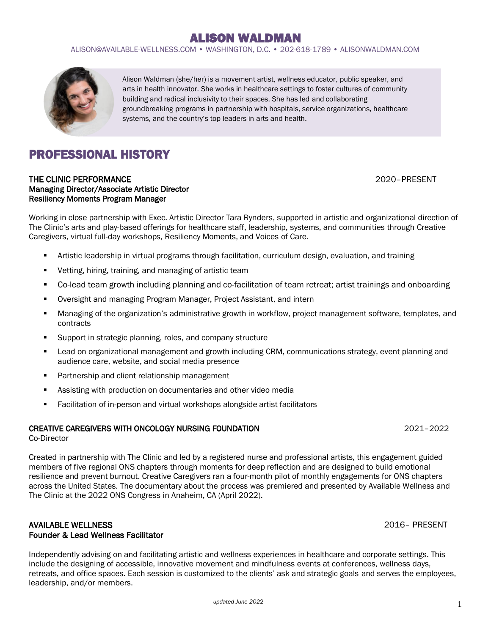ALISON@AVAILABLE-WELLNESS.COM • WASHINGTON, D.C. • 202-618-1789 • ALISONWALDMAN.COM



Alison Waldman (she/her) is a movement artist, wellness educator, public speaker, and arts in health innovator. She works in healthcare settings to foster cultures of community building and radical inclusivity to their spaces. She has led and collaborating groundbreaking programs in partnership with hospitals, service organizations, healthcare systems, and the country's top leaders in arts and health.

# PROFESSIONAL HISTORY

### THE CLINIC PERFORMANCE **THE CLINIC PERFORMANCE 2020** - PRESENT Managing Director/Associate Artistic Director Resiliency Moments Program Manager

Working in close partnership with Exec. Artistic Director Tara Rynders, supported in artistic and organizational direction of The Clinic's arts and play-based offerings for healthcare staff, leadership, systems, and communities through Creative Caregivers, virtual full-day workshops, Resiliency Moments, and Voices of Care.

- Artistic leadership in virtual programs through facilitation, curriculum design, evaluation, and training
- Vetting, hiring, training, and managing of artistic team
- Co-lead team growth including planning and co-facilitation of team retreat; artist trainings and onboarding
- Oversight and managing Program Manager, Project Assistant, and intern
- Managing of the organization's administrative growth in workflow, project management software, templates, and contracts
- Support in strategic planning, roles, and company structure
- Lead on organizational management and growth including CRM, communications strategy, event planning and audience care, website, and social media presence
- Partnership and client relationship management
- Assisting with production on documentaries and other video media
- Facilitation of in-person and virtual workshops alongside artist facilitators

### CREATIVE CAREGIVERS WITH ONCOLOGY NURSING FOUNDATION 2021–2022

Co-Director

Created in partnership with The Clinic and led by a registered nurse and professional artists, this engagement guided members of five regional ONS chapters through moments for deep reflection and are designed to build emotional resilience and prevent burnout. Creative Caregivers ran a four-month pilot of monthly engagements for ONS chapters across the United States. The documentary about the process was premiered and presented by Available Wellness and The Clinic at the 2022 ONS Congress in Anaheim, CA (April 2022).

### AVAILABLE WELLNESS 2016– PRESENT Founder & Lead Wellness Facilitator

Independently advising on and facilitating artistic and wellness experiences in healthcare and corporate settings. This include the designing of accessible, innovative movement and mindfulness events at conferences, wellness days, retreats, and office spaces. Each session is customized to the clients' ask and strategic goals and serves the employees, leadership, and/or members.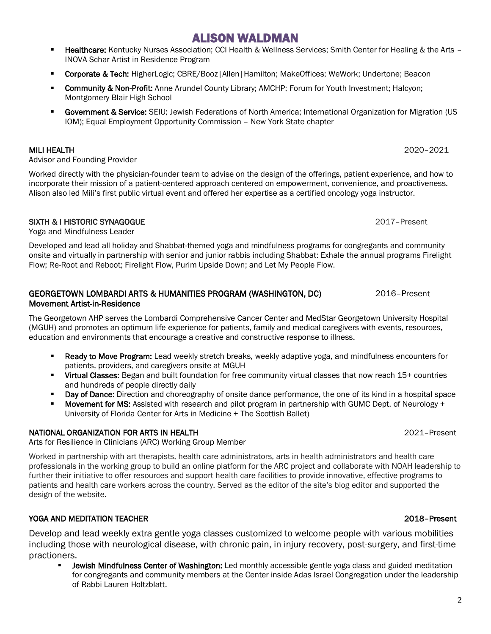- Healthcare: Kentucky Nurses Association; CCI Health & Wellness Services; Smith Center for Healing & the Arts -INOVA Schar Artist in Residence Program
- **E** Corporate & Tech: HigherLogic; CBRE/Booz | Allen | Hamilton; MakeOffices; WeWork; Undertone; Beacon
- **Community & Non-Profit:** Anne Arundel County Library; AMCHP; Forum for Youth Investment; Halcyon; Montgomery Blair High School
- **E** Government & Service: SEIU; Jewish Federations of North America; International Organization for Migration (US IOM); Equal Employment Opportunity Commission – New York State chapter

### MILI HEALTH 2020–2021

Advisor and Founding Provider

Worked directly with the physician-founder team to advise on the design of the offerings, patient experience, and how to incorporate their mission of a patient-centered approach centered on empowerment, convenience, and proactiveness. Alison also led Mili's first public virtual event and offered her expertise as a certified oncology yoga instructor.

### SIXTH & I HISTORIC SYNAGOGUE 2017–Present

Yoga and Mindfulness Leader

Developed and lead all holiday and Shabbat-themed yoga and mindfulness programs for congregants and community onsite and virtually in partnership with senior and junior rabbis including Shabbat: Exhale the annual programs Firelight Flow; Re-Root and Reboot; Firelight Flow, Purim Upside Down; and Let My People Flow.

### GEORGETOWN LOMBARDI ARTS & HUMANITIES PROGRAM (WASHINGTON, DC) 2016–Present Movement Artist-in-Residence

The Georgetown AHP serves the Lombardi Comprehensive Cancer Center and MedStar Georgetown University Hospital (MGUH) and promotes an optimum life experience for patients, family and medical caregivers with events, resources, education and environments that encourage a creative and constructive response to illness.

- **E** Ready to Move Program: Lead weekly stretch breaks, weekly adaptive yoga, and mindfulness encounters for patients, providers, and caregivers onsite at MGUH
- Virtual Classes: Began and built foundation for free community virtual classes that now reach 15+ countries and hundreds of people directly daily
- **Day of Dance:** Direction and choreography of onsite dance performance, the one of its kind in a hospital space
- Movement for MS: Assisted with research and pilot program in partnership with GUMC Dept. of Neurology + University of Florida Center for Arts in Medicine + The Scottish Ballet)

### NATIONAL ORGANIZATION FOR ARTS IN HEALTH 2021–Present

Arts for Resilience in Clinicians (ARC) Working Group Member

Worked in partnership with art therapists, health care administrators, arts in health administrators and health care professionals in the working group to build an online platform for the ARC project and collaborate with NOAH leadership to further their initiative to offer resources and support health care facilities to provide innovative, effective programs to patients and health care workers across the country. Served as the editor of the site's blog editor and supported the design of the website.

### YOGA AND MEDITATION TEACHER 2018–Present

Develop and lead weekly extra gentle yoga classes customized to welcome people with various mobilities including those with neurological disease, with chronic pain, in injury recovery, post-surgery, and first-time practioners.

Jewish Mindfulness Center of Washington: Led monthly accessible gentle yoga class and guided meditation for congregants and community members at the Center inside Adas Israel Congregation under the leadership of Rabbi Lauren Holtzblatt.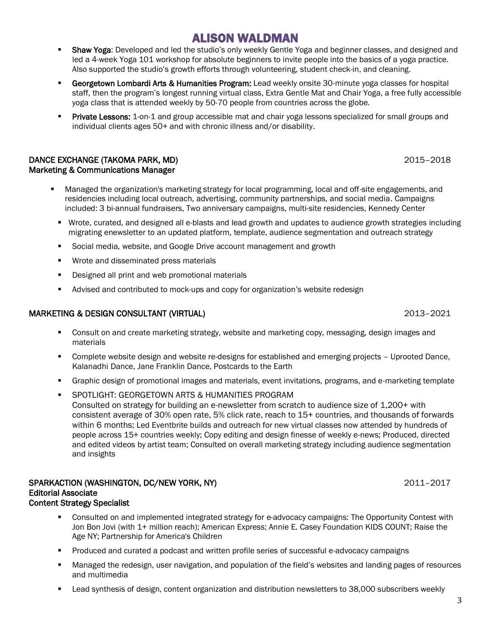- Shaw Yoga: Developed and led the studio's only weekly Gentle Yoga and beginner classes, and designed and led a 4-week Yoga 101 workshop for absolute beginners to invite people into the basics of a yoga practice. Also supported the studio's growth efforts through volunteering, student check-in, and cleaning.
- Georgetown Lombardi Arts & Humanities Program: Lead weekly onsite 30-minute yoga classes for hospital staff, then the program's longest running virtual class, Extra Gentle Mat and Chair Yoga, a free fully accessible yoga class that is attended weekly by 50-70 people from countries across the globe.
- Private Lessons: 1-on-1 and group accessible mat and chair yoga lessons specialized for small groups and individual clients ages 50+ and with chronic illness and/or disability.

### DANCE EXCHANGE (TAKOMA PARK, MD) 2015–2018 Marketing & Communications Manager

- Managed the organization's marketing strategy for local programming, local and off-site engagements, and residencies including local outreach, advertising, community partnerships, and social media. Campaigns included: 3 bi-annual fundraisers, Two anniversary campaigns, multi-site residencies, Kennedy Center
	- Wrote, curated, and designed all e-blasts and lead growth and updates to audience growth strategies including migrating enewsletter to an updated platform, template, audience segmentation and outreach strategy
	- Social media, website, and Google Drive account management and growth
	- Wrote and disseminated press materials
	- Designed all print and web promotional materials
	- Advised and contributed to mock-ups and copy for organization's website redesign

### MARKETING & DESIGN CONSULTANT (VIRTUAL) 2013–2021

- Consult on and create marketing strategy, website and marketing copy, messaging, design images and materials
- Complete website design and website re-designs for established and emerging projects Uprooted Dance, Kalanadhi Dance, Jane Franklin Dance, Postcards to the Earth
- Graphic design of promotional images and materials, event invitations, programs, and e-marketing template
- SPOTLIGHT: GEORGETOWN ARTS & HUMANITIES PROGRAM Consulted on strategy for building an e-newsletter from scratch to audience size of 1,200+ with consistent average of 30% open rate, 5% click rate, reach to 15+ countries, and thousands of forwards within 6 months; Led Eventbrite builds and outreach for new virtual classes now attended by hundreds of people across 15+ countries weekly; Copy editing and design finesse of weekly e-news; Produced, directed and edited videos by artist team; Consulted on overall marketing strategy including audience segmentation and insights

### SPARKACTION (WASHINGTON, DC/NEW YORK, NY) 2011–2017 Editorial Associate Content Strategy Specialist

- Consulted on and implemented integrated strategy for e-advocacy campaigns: The Opportunity Contest with Jon Bon Jovi (with 1+ million reach); American Express; Annie E. Casey Foundation KIDS COUNT; Raise the Age NY; Partnership for America's Children
- Produced and curated a podcast and written profile series of successful e-advocacy campaigns
- Managed the redesign, user navigation, and population of the field's websites and landing pages of resources and multimedia
- Lead synthesis of design, content organization and distribution newsletters to 38,000 subscribers weekly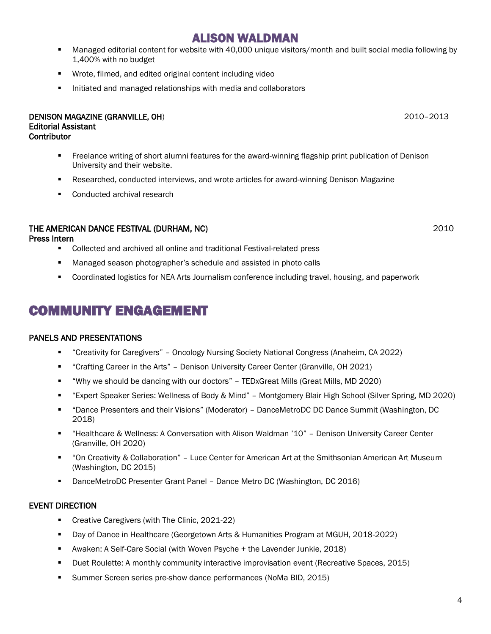- Managed editorial content for website with 40,000 unique visitors/month and built social media following by 1,400% with no budget
- Wrote, filmed, and edited original content including video
- Initiated and managed relationships with media and collaborators

#### DENISON MAGAZINE (GRANVILLE, OH) 2010–2013 Editorial Assistant **Contributor**

- **•** Freelance writing of short alumni features for the award-winning flagship print publication of Denison University and their website.
- Researched, conducted interviews, and wrote articles for award-winning Denison Magazine
- Conducted archival research

### THE AMERICAN DANCE FESTIVAL (DURHAM, NC) 2010

### Press Intern

- Collected and archived all online and traditional Festival-related press
- Managed season photographer's schedule and assisted in photo calls
- Coordinated logistics for NEA Arts Journalism conference including travel, housing, and paperwork

# COMMUNITY ENGAGEMENT

### PANELS AND PRESENTATIONS

- "Creativity for Caregivers" Oncology Nursing Society National Congress (Anaheim, CA 2022)
- "Crafting Career in the Arts" Denison University Career Center (Granville, OH 2021)
- "Why we should be dancing with our doctors" TEDxGreat Mills (Great Mills, MD 2020)
- "Expert Speaker Series: Wellness of Body & Mind" Montgomery Blair High School (Silver Spring, MD 2020)
- "Dance Presenters and their Visions" (Moderator) DanceMetroDC DC Dance Summit (Washington, DC 2018)
- "Healthcare & Wellness: A Conversation with Alison Waldman '10" Denison University Career Center (Granville, OH 2020)
- "On Creativity & Collaboration" Luce Center for American Art at the Smithsonian American Art Museum (Washington, DC 2015)
- DanceMetroDC Presenter Grant Panel Dance Metro DC (Washington, DC 2016)

### EVENT DIRECTION

- Creative Caregivers (with The Clinic, 2021-22)
- Day of Dance in Healthcare (Georgetown Arts & Humanities Program at MGUH, 2018-2022)
- Awaken: A Self-Care Social (with Woven Psyche + the Lavender Junkie, 2018)
- Duet Roulette: A monthly community interactive improvisation event (Recreative Spaces, 2015)
- Summer Screen series pre-show dance performances (NoMa BID, 2015)

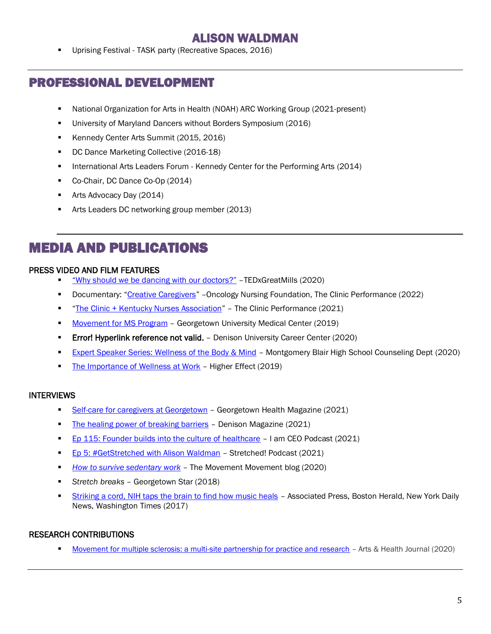Uprising Festival - TASK party (Recreative Spaces, 2016)

### PROFESSIONAL DEVELOPMENT

- National Organization for Arts in Health (NOAH) ARC Working Group (2021-present)
- University of Maryland Dancers without Borders Symposium (2016)
- Kennedy Center Arts Summit (2015, 2016)
- DC Dance Marketing Collective (2016-18)
- **■** International Arts Leaders Forum Kennedy Center for the Performing Arts (2014)
- Co-Chair, DC Dance Co-Op (2014)
- Arts Advocacy Day (2014)
- Arts Leaders DC networking group member (2013)

# MEDIA AND PUBLICATIONS

### PRESS VIDEO AND FILM FEATURES

- "[Why should we be dancing with our](https://www.youtube.com/watch?v=SsBfEjxTgwU) doctors?" –TEDxGreatMills (2020)
- Documentary: "[Creative Caregivers](https://vimeo.com/703853032)" Oncology Nursing Foundation, The Clinic Performance (2022)
- "[The Clinic + Kentucky Nurses Association](https://vimeo.com/651702787)" The Clinic Performance (2021)
- [Movement for MS Program](https://www.youtube.com/watch?v=Q505Eu0Rh0k) Georgetown University Medical Center (2019)
- **Error! Hyperlink reference not valid.** Denison University Career Center (2020)
- **[Expert Speaker Series: Wellness of the Body & Mind](https://www.instagram.com/tv/CI8nPGiJFAZ/) Montgomery Blair High School Counseling Dept (2020)**
- [The Importance of Wellness at Work](https://youtu.be/e4_nDSdrYSI) Higher Effect (2019)

### INTERVIEWS

- [Self-care for caregivers at Georgetown](https://today.advancement.georgetown.edu/health-magazine/2021/self-care-for-caregivers-at-georgetown/) Georgetown Health Magazine (2021)
- **[The healing power of breaking barriers](https://denison.edu/academics/dance/feature/136712) Denison Magazine (2021)**
- **[Ep 115: Founder builds into the culture of healthcare](https://iamceo.co/2021/08/22/iam1105-founder-builds-into-the-culture-of-healthcare/) I am CEO Podcast (2021)**
- [Ep 5: #GetStretched with Alison Waldman](https://stretched.buzzsprout.com/1484380/6979870-s1-ep-5-bringing-yoga-movement-to-healthcare-getstretched-with-alison-waldman) Stretched! Podcast (2021)
- *[How to survive sedentary work](https://www.themovement-movement.com/post/how-to-survive-sedentary-work)* The Movement Movement blog (2020)
- *Stretch breaks*  Georgetown Star (2018)
- **EXECT [Striking a cord, NIH taps the brain to find how music heals](https://apnews.com/article/health-music-north-america-us-news-ap-top-news-895c5b00f554466894d1d50a851ef5ec) Associated Press, Boston Herald, New York Daily** News, Washington Times (2017)

### RESEARCH CONTRIBUTIONS

[Movement for multiple sclerosis: a multi-site partnership for practice and research](https://www.tandfonline.com/doi/abs/10.1080/17533015.2020.1852435?journalCode=rahe20) - Arts & Health Journal (2020)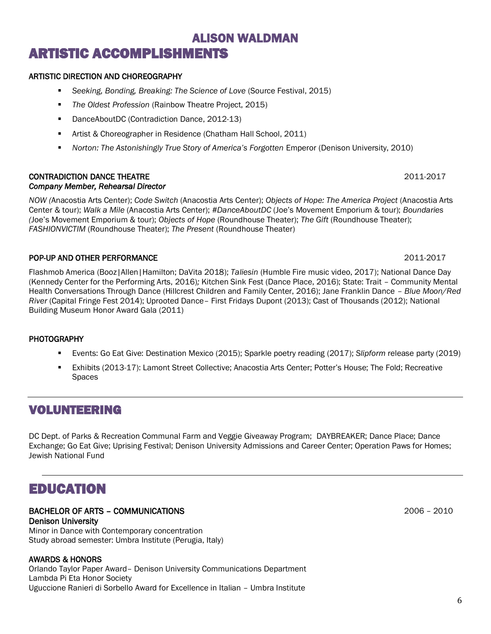# ALISON WALDMAN ARTISTIC ACCOMPLISHMENTS

#### ARTISTIC DIRECTION AND CHOREOGRAPHY

- *Seeking, Bonding, Breaking: The Science of Love* (Source Festival, 2015)
- *The Oldest Profession* (Rainbow Theatre Project, 2015)
- DanceAboutDC (Contradiction Dance, 2012-13)
- Artist & Choreographer in Residence (Chatham Hall School, 2011)
- *Norton: The Astonishingly True Story of America's Forgotten* Emperor (Denison University, 2010)

#### CONTRADICTION DANCE THEATRE 2011-2017 *Company Member, Rehearsal Director*

*NOW (*Anacostia Arts Center); *Code Switch* (Anacostia Arts Center); *Objects of Hope: The America Project* (Anacostia Arts Center & tour); *Walk a Mile* (Anacostia Arts Center); *#DanceAboutDC* (Joe's Movement Emporium & tour); *Boundaries (*Joe's Movement Emporium & tour); *Objects of Hope* (Roundhouse Theater); *The Gift* (Roundhouse Theater); *FASHIONVICTIM* (Roundhouse Theater); *The Present* (Roundhouse Theater)

### POP-UP AND OTHER PERFORMANCE **2011-2017**

Flashmob America (Booz|Allen|Hamilton; DaVita 2018); *Taliesin* (Humble Fire music video, 2017); National Dance Day (Kennedy Center for the Performing Arts, 2016)*;* Kitchen Sink Fest (Dance Place, 2016); State: Trait – Community Mental Health Conversations Through Dance (Hillcrest Children and Family Center, 2016); Jane Franklin Dance *– Blue Moon/Red River* (Capital Fringe Fest 2014); Uprooted Dance– First Fridays Dupont (2013); Cast of Thousands (2012); National Building Museum Honor Award Gala (2011)

#### **PHOTOGRAPHY**

- Events: Go Eat Give: Destination Mexico (2015); Sparkle poetry reading (2017); *Slipform* release party (2019)
- Exhibits (2013-17): Lamont Street Collective; Anacostia Arts Center; Potter's House; The Fold; Recreative **Spaces**

### VOLUNTEERING

DC Dept. of Parks & Recreation Communal Farm and Veggie Giveaway Program; DAYBREAKER; Dance Place; Dance Exchange; Go Eat Give; Uprising Festival; Denison University Admissions and Career Center; Operation Paws for Homes; Jewish National Fund

# EDUCATION

#### BACHELOR OF ARTS – COMMUNICATIONS 2006 – 2010 Denison University

Minor in Dance with Contemporary concentration Study abroad semester: Umbra Institute (Perugia, Italy)

#### AWARDS & HONORS

Orlando Taylor Paper Award– Denison University Communications Department Lambda Pi Eta Honor Society Uguccione Ranieri di Sorbello Award for Excellence in Italian – Umbra Institute